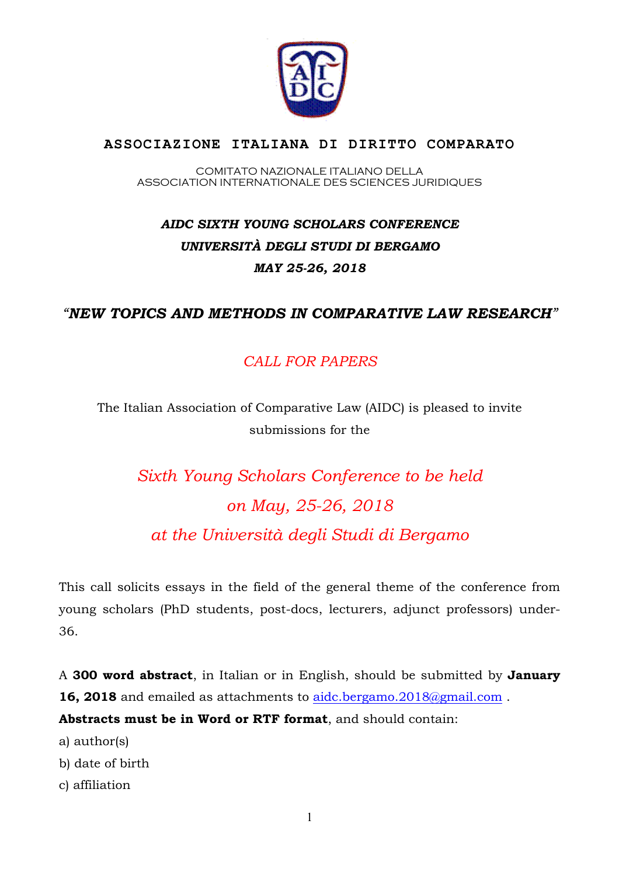

## **ASSOCIAZIONE ITALIANA DI DIRITTO COMPARATO**

COMITATO NAZIONALE ITALIANO DELLA ASSOCIATION INTERNATIONALE DES SCIENCES JURIDIQUES

## *AIDC SIXTH YOUNG SCHOLARS CONFERENCE UNIVERSITÀ DEGLI STUDI DI BERGAMO MAY 25-26, 2018*

## *"NEW TOPICS AND METHODS IN COMPARATIVE LAW RESEARCH"*

## *CALL FOR PAPERS*

The Italian Association of Comparative Law (AIDC) is pleased to invite submissions for the

*Sixth Young Scholars Conference to be held on May, 25-26, 2018 at the Università degli Studi di Bergamo* 

This call solicits essays in the field of the general theme of the conference from young scholars (PhD students, post-docs, lecturers, adjunct professors) under-36.

A **300 word abstract**, in Italian or in English, should be submitted by **January**  16, 2018 and emailed as attachments to aidc.bergamo.2018@gmail.com.

**Abstracts must be in Word or RTF format**, and should contain:

a) author(s)

b) date of birth

c) affiliation